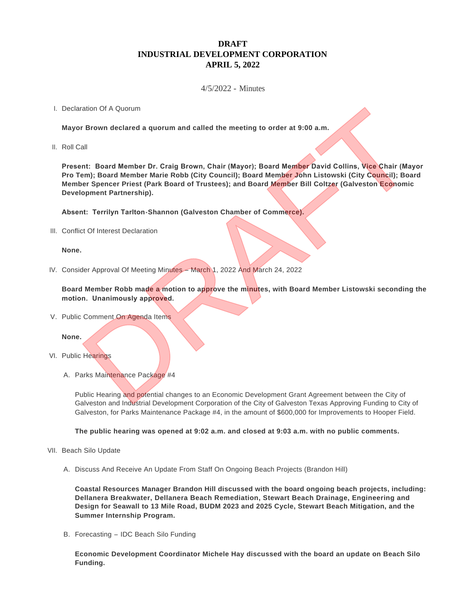# **DRAFT INDUSTRIAL DEVELOPMENT CORPORATION APRIL 5, 2022**

# 4/5/2022 - Minutes

## I. Declaration Of A Quorum

**Mayor Brown declared a quorum and called the meeting to order at 9:00 a.m.**

II. Roll Call

**Present: Board Member Dr. Craig Brown, Chair (Mayor); Board Member David Collins, Vice Chair (Mayor Pro Tem); Board Member Marie Robb (City Council); Board Member John Listowski (City Council); Board Member Spencer Priest (Park Board of Trustees); and Board Member Bill Coltzer (Galveston Economic Development Partnership).** ration Of A Quorum<br>
Int: Board Member Dr. Craig Brown, Chair (Mayor); Board Member David Collins, Vice Chair (Mayor)<br>
Int: Board Member Dr. Craig Brown, Chair (Mayor); Board Member David Collins, Vice Chair (Mayor)<br>
Int: T

**Absent: Terrilyn Tarlton-Shannon (Galveston Chamber of Commerce).**

III. Conflict Of Interest Declaration

## **None.**

IV. Consider Approval Of Meeting Minutes – March 1, 2022 And March 24, 2022

**Board Member Robb made a motion to approve the minutes, with Board Member Listowski seconding the motion. Unanimously approved.**

V. Public Comment On Agenda Items

## **None.**

- VI. Public Hearings
	- A. Parks Maintenance Package #4

Public Hearing and potential changes to an Economic Development Grant Agreement between the City of Galveston and Industrial Development Corporation of the City of Galveston Texas Approving Funding to City of Galveston, for Parks Maintenance Package #4, in the amount of \$600,000 for Improvements to Hooper Field.

**The public hearing was opened at 9:02 a.m. and closed at 9:03 a.m. with no public comments.**

- VII. Beach Silo Update
	- A. Discuss And Receive An Update From Staff On Ongoing Beach Projects (Brandon Hill)

**Coastal Resources Manager Brandon Hill discussed with the board ongoing beach projects, including: Dellanera Breakwater, Dellanera Beach Remediation, Stewart Beach Drainage, Engineering and Design for Seawall to 13 Mile Road, BUDM 2023 and 2025 Cycle, Stewart Beach Mitigation, and the Summer Internship Program.**

B. Forecasting - IDC Beach Silo Funding

**Economic Development Coordinator Michele Hay discussed with the board an update on Beach Silo Funding.**